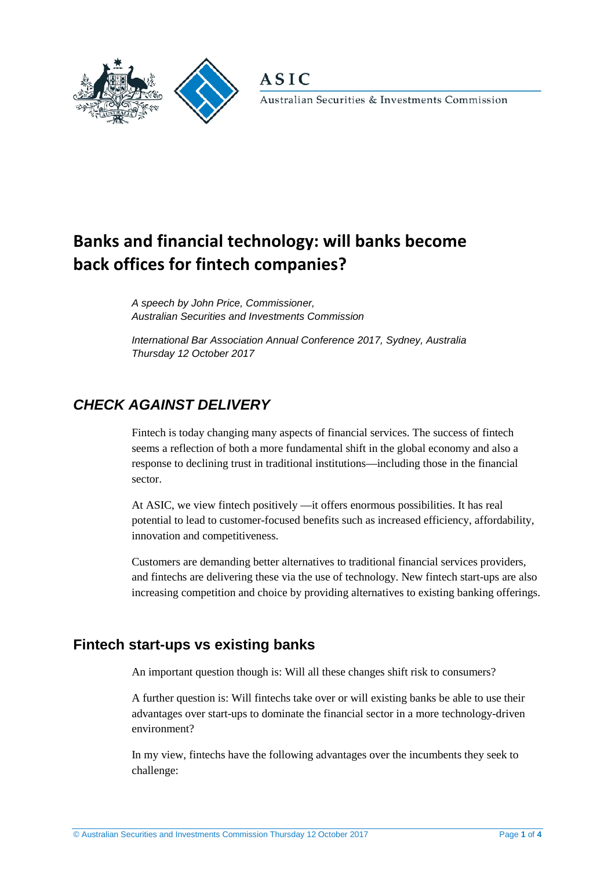



Australian Securities & Investments Commission

# **Banks and financial technology: will banks become back offices for fintech companies?**

*A speech by John Price, Commissioner, Australian Securities and Investments Commission* 

*International Bar Association Annual Conference 2017, Sydney, Australia Thursday 12 October 2017*

# *CHECK AGAINST DELIVERY*

Fintech is today changing many aspects of financial services. The success of fintech seems a reflection of both a more fundamental shift in the global economy and also a response to declining trust in traditional institutions—including those in the financial sector.

At ASIC, we view fintech positively —it offers enormous possibilities. It has real potential to lead to customer-focused benefits such as increased efficiency, affordability, innovation and competitiveness.

Customers are demanding better alternatives to traditional financial services providers, and fintechs are delivering these via the use of technology. New fintech start-ups are also increasing competition and choice by providing alternatives to existing banking offerings.

## **Fintech start-ups vs existing banks**

An important question though is: Will all these changes shift risk to consumers?

A further question is: Will fintechs take over or will existing banks be able to use their advantages over start-ups to dominate the financial sector in a more technology-driven environment?

In my view, fintechs have the following advantages over the incumbents they seek to challenge: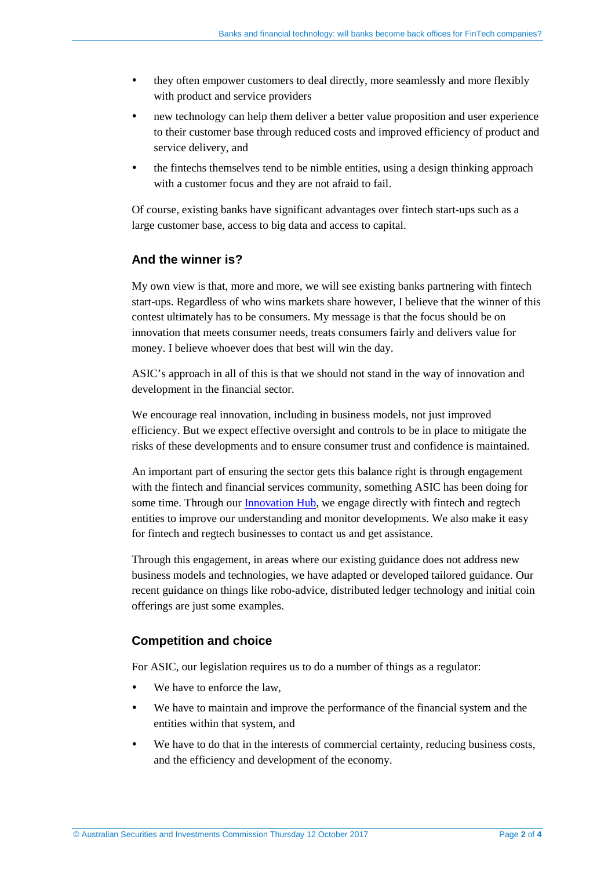- they often empower customers to deal directly, more seamlessly and more flexibly with product and service providers
- new technology can help them deliver a better value proposition and user experience to their customer base through reduced costs and improved efficiency of product and service delivery, and
- the fintechs themselves tend to be nimble entities, using a design thinking approach with a customer focus and they are not afraid to fail.

Of course, existing banks have significant advantages over fintech start-ups such as a large customer base, access to big data and access to capital.

#### **And the winner is?**

My own view is that, more and more, we will see existing banks partnering with fintech start-ups. Regardless of who wins markets share however, I believe that the winner of this contest ultimately has to be consumers. My message is that the focus should be on innovation that meets consumer needs, treats consumers fairly and delivers value for money. I believe whoever does that best will win the day.

ASIC's approach in all of this is that we should not stand in the way of innovation and development in the financial sector.

We encourage real innovation, including in business models, not just improved efficiency. But we expect effective oversight and controls to be in place to mitigate the risks of these developments and to ensure consumer trust and confidence is maintained.

An important part of ensuring the sector gets this balance right is through engagement with the fintech and financial services community, something ASIC has been doing for some time. Through our [Innovation Hub,](http://asic.gov.au/for-business/your-business/innovation-hub/) we engage directly with fintech and regtech entities to improve our understanding and monitor developments. We also make it easy for fintech and regtech businesses to contact us and get assistance.

Through this engagement, in areas where our existing guidance does not address new business models and technologies, we have adapted or developed tailored guidance. Our recent guidance on things like robo-advice, distributed ledger technology and initial coin offerings are just some examples.

#### **Competition and choice**

For ASIC, our legislation requires us to do a number of things as a regulator:

- We have to enforce the law,
- We have to maintain and improve the performance of the financial system and the entities within that system, and
- We have to do that in the interests of commercial certainty, reducing business costs, and the efficiency and development of the economy.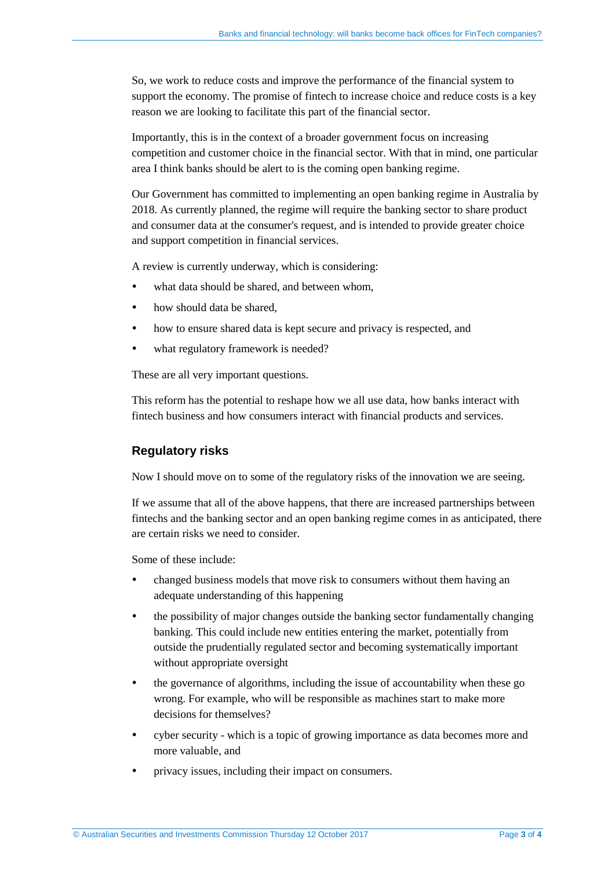So, we work to reduce costs and improve the performance of the financial system to support the economy. The promise of fintech to increase choice and reduce costs is a key reason we are looking to facilitate this part of the financial sector.

Importantly, this is in the context of a broader government focus on increasing competition and customer choice in the financial sector. With that in mind, one particular area I think banks should be alert to is the coming open banking regime.

Our Government has committed to implementing an open banking regime in Australia by 2018. As currently planned, the regime will require the banking sector to share product and consumer data at the consumer's request, and is intended to provide greater choice and support competition in financial services.

A review is currently underway, which is considering:

- what data should be shared, and between whom,
- how should data be shared,
- how to ensure shared data is kept secure and privacy is respected, and
- what regulatory framework is needed?

These are all very important questions.

This reform has the potential to reshape how we all use data, how banks interact with fintech business and how consumers interact with financial products and services.

#### **Regulatory risks**

Now I should move on to some of the regulatory risks of the innovation we are seeing.

If we assume that all of the above happens, that there are increased partnerships between fintechs and the banking sector and an open banking regime comes in as anticipated, there are certain risks we need to consider.

Some of these include:

- changed business models that move risk to consumers without them having an adequate understanding of this happening
- the possibility of major changes outside the banking sector fundamentally changing banking. This could include new entities entering the market, potentially from outside the prudentially regulated sector and becoming systematically important without appropriate oversight
- the governance of algorithms, including the issue of accountability when these go wrong. For example, who will be responsible as machines start to make more decisions for themselves?
- cyber security which is a topic of growing importance as data becomes more and more valuable, and
- privacy issues, including their impact on consumers.